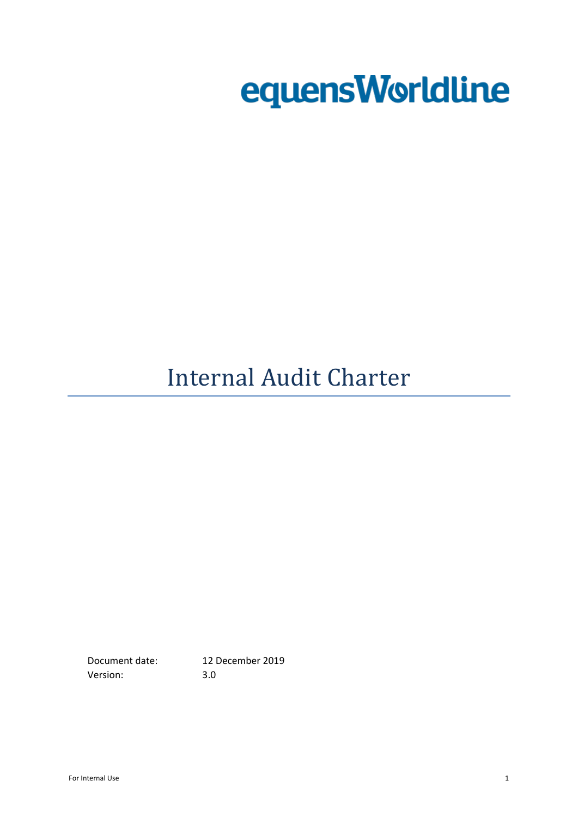# equensWorldline

# Internal Audit Charter

Version: 3.0

Document date: 12 December 2019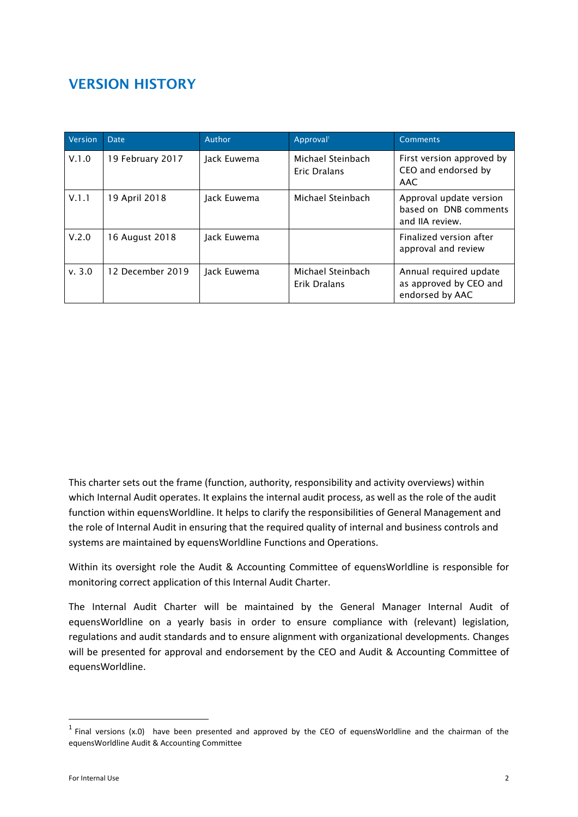# **VERSION HISTORY**

| Version | <b>Date</b>      | Author      | Approval <sup>1</sup>             | <b>Comments</b>                                                     |
|---------|------------------|-------------|-----------------------------------|---------------------------------------------------------------------|
| V.1.0   | 19 February 2017 | Jack Euwema | Michael Steinbach<br>Eric Dralans | First version approved by<br>CEO and endorsed by<br>AAC             |
| V.1.1   | 19 April 2018    | Jack Euwema | Michael Steinbach                 | Approval update version<br>based on DNB comments<br>and IIA review. |
| V.2.0   | 16 August 2018   | Jack Euwema |                                   | Finalized version after<br>approval and review                      |
| v. 3.0  | 12 December 2019 | Jack Euwema | Michael Steinbach<br>Erik Dralans | Annual required update<br>as approved by CEO and<br>endorsed by AAC |

This charter sets out the frame (function, authority, responsibility and activity overviews) within which Internal Audit operates. It explains the internal audit process, as well as the role of the audit function within equensWorldline. It helps to clarify the responsibilities of General Management and the role of Internal Audit in ensuring that the required quality of internal and business controls and systems are maintained by equensWorldline Functions and Operations.

Within its oversight role the Audit & Accounting Committee of equensWorldline is responsible for monitoring correct application of this Internal Audit Charter.

The Internal Audit Charter will be maintained by the General Manager Internal Audit of equensWorldline on a yearly basis in order to ensure compliance with (relevant) legislation, regulations and audit standards and to ensure alignment with organizational developments. Changes will be presented for approval and endorsement by the CEO and Audit & Accounting Committee of equensWorldline.

1

 $<sup>1</sup>$  Final versions (x.0) have been presented and approved by the CEO of equensWorldline and the chairman of the</sup> equensWorldline Audit & Accounting Committee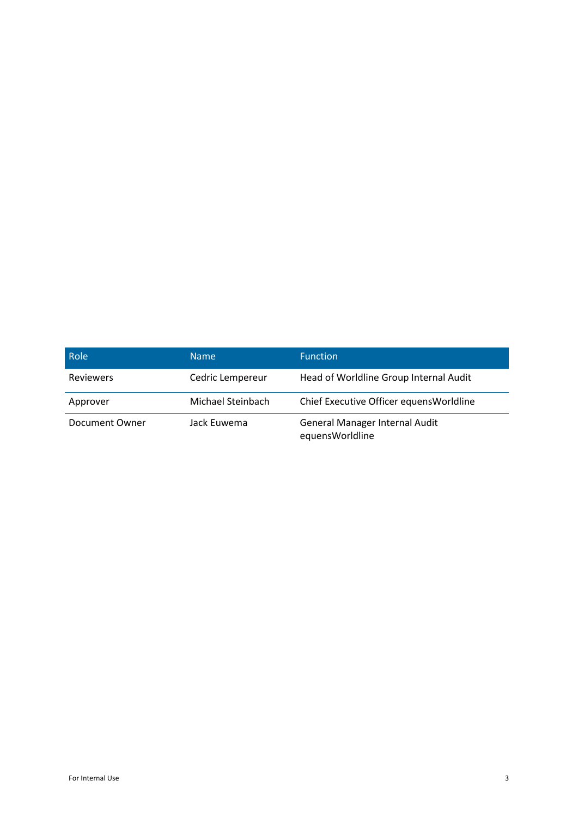| <b>Role</b>      | Name              | <b>Function</b>                                          |
|------------------|-------------------|----------------------------------------------------------|
| <b>Reviewers</b> | Cedric Lempereur  | Head of Worldline Group Internal Audit                   |
| Approver         | Michael Steinbach | Chief Executive Officer equens Worldline                 |
| Document Owner   | Jack Euwema       | <b>General Manager Internal Audit</b><br>equensWorldline |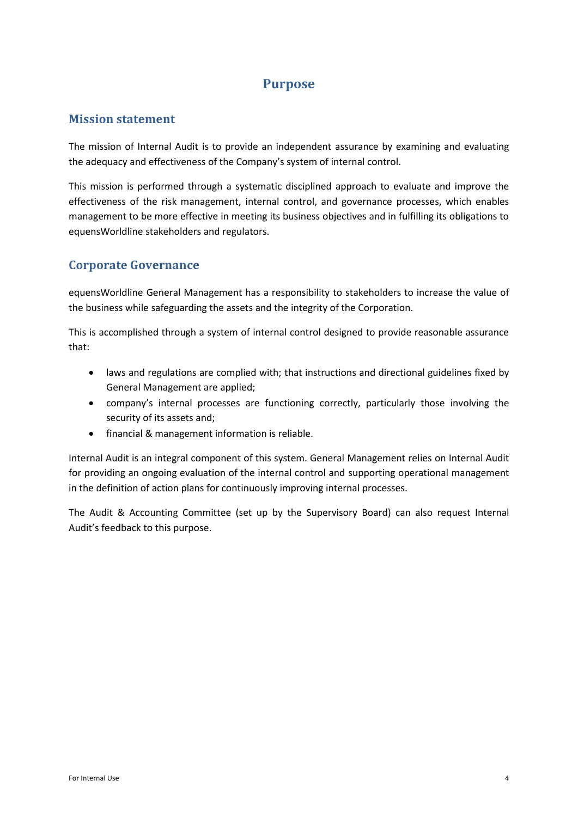#### **Purpose**

#### **Mission statement**

The mission of Internal Audit is to provide an independent assurance by examining and evaluating the adequacy and effectiveness of the Company's system of internal control.

This mission is performed through a systematic disciplined approach to evaluate and improve the effectiveness of the risk management, internal control, and governance processes, which enables management to be more effective in meeting its business objectives and in fulfilling its obligations to equensWorldline stakeholders and regulators.

#### **Corporate Governance**

equensWorldline General Management has a responsibility to stakeholders to increase the value of the business while safeguarding the assets and the integrity of the Corporation.

This is accomplished through a system of internal control designed to provide reasonable assurance that:

- laws and regulations are complied with; that instructions and directional guidelines fixed by General Management are applied;
- company's internal processes are functioning correctly, particularly those involving the security of its assets and;
- financial & management information is reliable.

Internal Audit is an integral component of this system. General Management relies on Internal Audit for providing an ongoing evaluation of the internal control and supporting operational management in the definition of action plans for continuously improving internal processes.

The Audit & Accounting Committee (set up by the Supervisory Board) can also request Internal Audit's feedback to this purpose.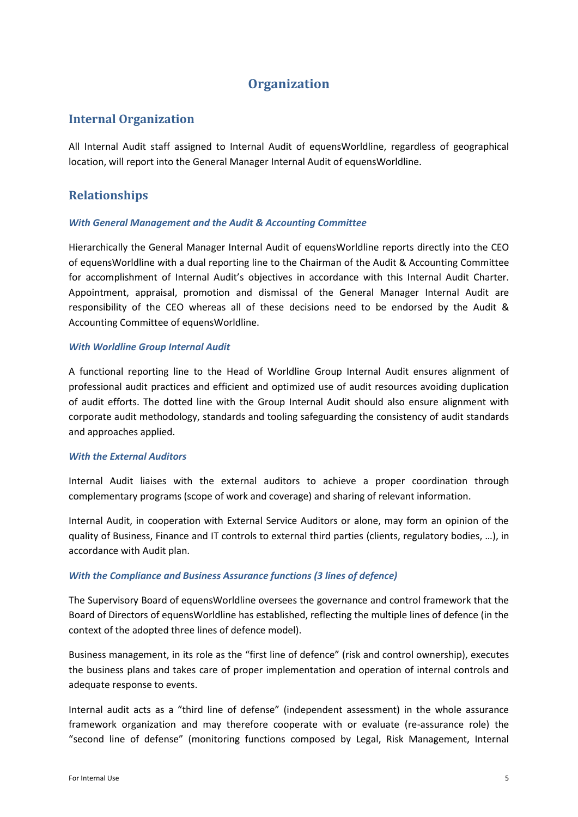## **Organization**

#### **Internal Organization**

All Internal Audit staff assigned to Internal Audit of equensWorldline, regardless of geographical location, will report into the General Manager Internal Audit of equensWorldline.

#### **Relationships**

#### *With General Management and the Audit & Accounting Committee*

Hierarchically the General Manager Internal Audit of equensWorldline reports directly into the CEO of equensWorldline with a dual reporting line to the Chairman of the Audit & Accounting Committee for accomplishment of Internal Audit's objectives in accordance with this Internal Audit Charter. Appointment, appraisal, promotion and dismissal of the General Manager Internal Audit are responsibility of the CEO whereas all of these decisions need to be endorsed by the Audit & Accounting Committee of equensWorldline.

#### *With Worldline Group Internal Audit*

A functional reporting line to the Head of Worldline Group Internal Audit ensures alignment of professional audit practices and efficient and optimized use of audit resources avoiding duplication of audit efforts. The dotted line with the Group Internal Audit should also ensure alignment with corporate audit methodology, standards and tooling safeguarding the consistency of audit standards and approaches applied.

#### *With the External Auditors*

Internal Audit liaises with the external auditors to achieve a proper coordination through complementary programs (scope of work and coverage) and sharing of relevant information.

Internal Audit, in cooperation with External Service Auditors or alone, may form an opinion of the quality of Business, Finance and IT controls to external third parties (clients, regulatory bodies, …), in accordance with Audit plan.

#### *With the Compliance and Business Assurance functions (3 lines of defence)*

The Supervisory Board of equensWorldline oversees the governance and control framework that the Board of Directors of equensWorldline has established, reflecting the multiple lines of defence (in the context of the adopted three lines of defence model).

Business management, in its role as the "first line of defence" (risk and control ownership), executes the business plans and takes care of proper implementation and operation of internal controls and adequate response to events.

Internal audit acts as a "third line of defense" (independent assessment) in the whole assurance framework organization and may therefore cooperate with or evaluate (re-assurance role) the "second line of defense" (monitoring functions composed by Legal, Risk Management, Internal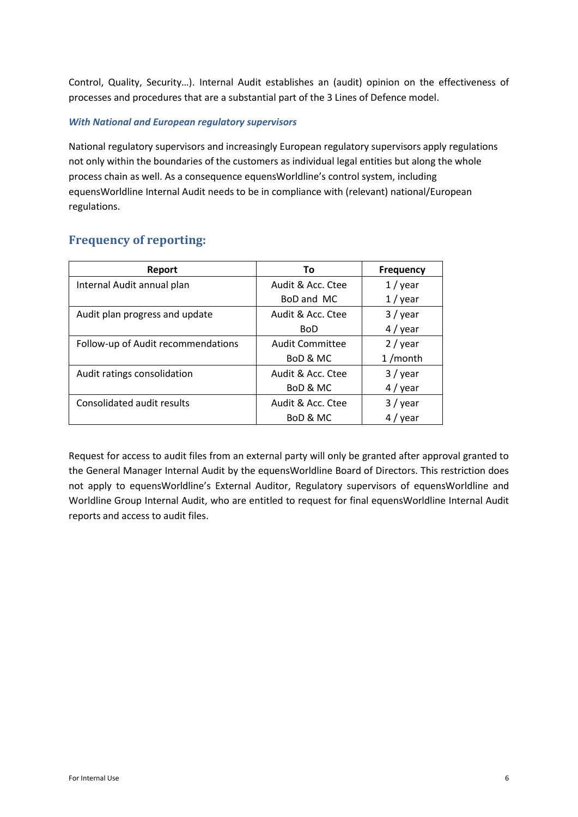Control, Quality, Security…). Internal Audit establishes an (audit) opinion on the effectiveness of processes and procedures that are a substantial part of the 3 Lines of Defence model.

#### *With National and European regulatory supervisors*

National regulatory supervisors and increasingly European regulatory supervisors apply regulations not only within the boundaries of the customers as individual legal entities but along the whole process chain as well. As a consequence equensWorldline's control system, including equensWorldline Internal Audit needs to be in compliance with (relevant) national/European regulations.

#### **Frequency of reporting:**

| Report                             | Τo                     | <b>Frequency</b> |
|------------------------------------|------------------------|------------------|
| Internal Audit annual plan         | Audit & Acc. Ctee      | $1/$ year        |
|                                    | BoD and MC             | $1/$ year        |
| Audit plan progress and update     | Audit & Acc. Ctee      | 3 / year         |
|                                    | <b>BoD</b>             | $4$ / year       |
| Follow-up of Audit recommendations | <b>Audit Committee</b> | $2$ / year       |
|                                    | BoD & MC               | $1/m$ onth       |
| Audit ratings consolidation        | Audit & Acc. Ctee      | $3/$ year        |
|                                    | BoD & MC               | $4$ / year       |
| Consolidated audit results         | Audit & Acc. Ctee      | $3/$ year        |
|                                    | BoD & MC               | $4/$ year        |

Request for access to audit files from an external party will only be granted after approval granted to the General Manager Internal Audit by the equensWorldline Board of Directors. This restriction does not apply to equensWorldline's External Auditor, Regulatory supervisors of equensWorldline and Worldline Group Internal Audit, who are entitled to request for final equensWorldline Internal Audit reports and access to audit files.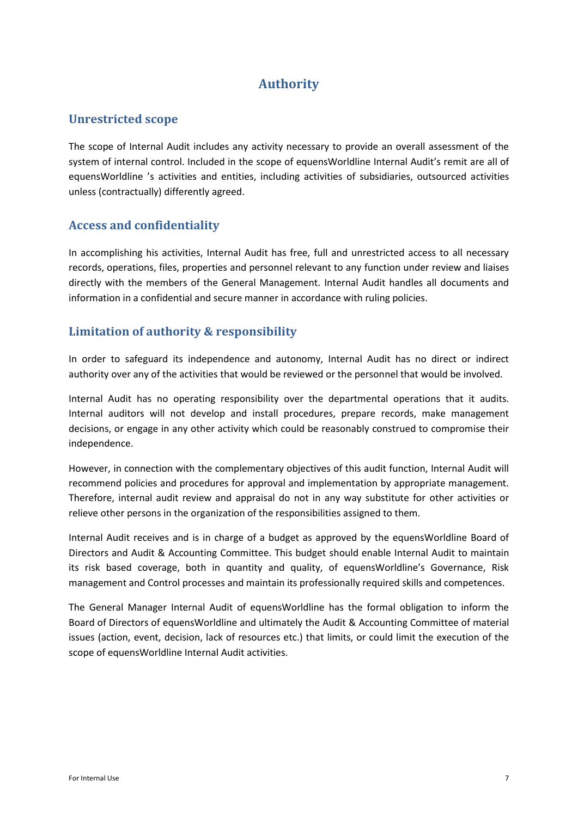# **Authority**

#### **Unrestricted scope**

The scope of Internal Audit includes any activity necessary to provide an overall assessment of the system of internal control. Included in the scope of equensWorldline Internal Audit's remit are all of equensWorldline 's activities and entities, including activities of subsidiaries, outsourced activities unless (contractually) differently agreed.

#### **Access and confidentiality**

In accomplishing his activities, Internal Audit has free, full and unrestricted access to all necessary records, operations, files, properties and personnel relevant to any function under review and liaises directly with the members of the General Management. Internal Audit handles all documents and information in a confidential and secure manner in accordance with ruling policies.

#### **Limitation of authority & responsibility**

In order to safeguard its independence and autonomy, Internal Audit has no direct or indirect authority over any of the activities that would be reviewed or the personnel that would be involved.

Internal Audit has no operating responsibility over the departmental operations that it audits. Internal auditors will not develop and install procedures, prepare records, make management decisions, or engage in any other activity which could be reasonably construed to compromise their independence.

However, in connection with the complementary objectives of this audit function, Internal Audit will recommend policies and procedures for approval and implementation by appropriate management. Therefore, internal audit review and appraisal do not in any way substitute for other activities or relieve other persons in the organization of the responsibilities assigned to them.

Internal Audit receives and is in charge of a budget as approved by the equensWorldline Board of Directors and Audit & Accounting Committee. This budget should enable Internal Audit to maintain its risk based coverage, both in quantity and quality, of equensWorldline's Governance, Risk management and Control processes and maintain its professionally required skills and competences.

The General Manager Internal Audit of equensWorldline has the formal obligation to inform the Board of Directors of equensWorldline and ultimately the Audit & Accounting Committee of material issues (action, event, decision, lack of resources etc.) that limits, or could limit the execution of the scope of equensWorldline Internal Audit activities.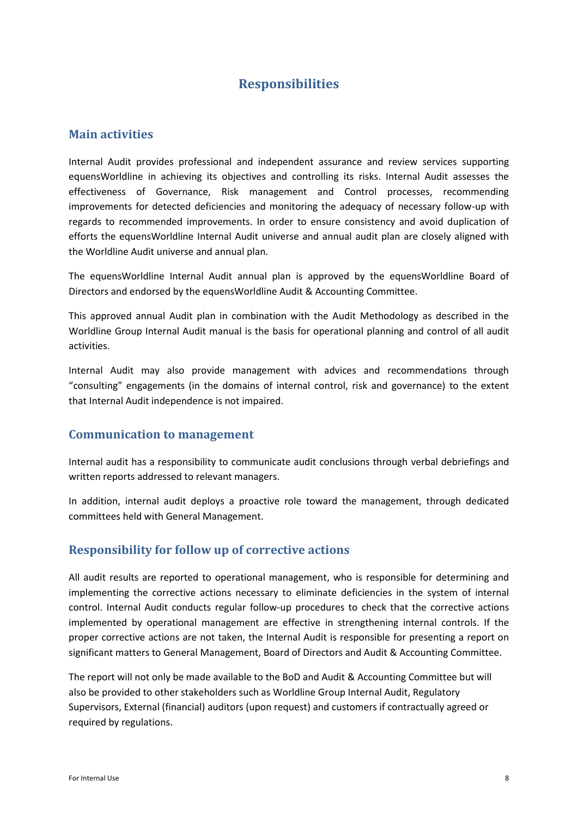## **Responsibilities**

#### **Main activities**

Internal Audit provides professional and independent assurance and review services supporting equensWorldline in achieving its objectives and controlling its risks. Internal Audit assesses the effectiveness of Governance, Risk management and Control processes, recommending improvements for detected deficiencies and monitoring the adequacy of necessary follow-up with regards to recommended improvements. In order to ensure consistency and avoid duplication of efforts the equensWorldline Internal Audit universe and annual audit plan are closely aligned with the Worldline Audit universe and annual plan.

The equensWorldline Internal Audit annual plan is approved by the equensWorldline Board of Directors and endorsed by the equensWorldline Audit & Accounting Committee.

This approved annual Audit plan in combination with the Audit Methodology as described in the Worldline Group Internal Audit manual is the basis for operational planning and control of all audit activities.

Internal Audit may also provide management with advices and recommendations through "consulting" engagements (in the domains of internal control, risk and governance) to the extent that Internal Audit independence is not impaired.

#### **Communication to management**

Internal audit has a responsibility to communicate audit conclusions through verbal debriefings and written reports addressed to relevant managers.

In addition, internal audit deploys a proactive role toward the management, through dedicated committees held with General Management.

#### **Responsibility for follow up of corrective actions**

All audit results are reported to operational management, who is responsible for determining and implementing the corrective actions necessary to eliminate deficiencies in the system of internal control. Internal Audit conducts regular follow-up procedures to check that the corrective actions implemented by operational management are effective in strengthening internal controls. If the proper corrective actions are not taken, the Internal Audit is responsible for presenting a report on significant matters to General Management, Board of Directors and Audit & Accounting Committee.

The report will not only be made available to the BoD and Audit & Accounting Committee but will also be provided to other stakeholders such as Worldline Group Internal Audit, Regulatory Supervisors, External (financial) auditors (upon request) and customers if contractually agreed or required by regulations.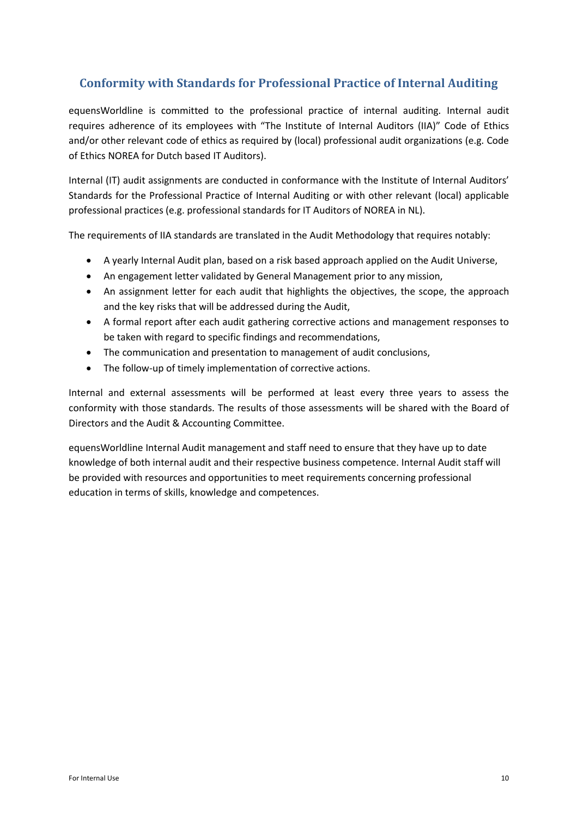#### **Conformity with Standards for Professional Practice of Internal Auditing**

equensWorldline is committed to the professional practice of internal auditing. Internal audit requires adherence of its employees with "The Institute of Internal Auditors (IIA)" Code of Ethics and/or other relevant code of ethics as required by (local) professional audit organizations (e.g. Code of Ethics NOREA for Dutch based IT Auditors).

Internal (IT) audit assignments are conducted in conformance with the Institute of Internal Auditors' Standards for the Professional Practice of Internal Auditing or with other relevant (local) applicable professional practices (e.g. professional standards for IT Auditors of NOREA in NL).

The requirements of IIA standards are translated in the Audit Methodology that requires notably:

- A yearly Internal Audit plan, based on a risk based approach applied on the Audit Universe,
- An engagement letter validated by General Management prior to any mission,
- An assignment letter for each audit that highlights the objectives, the scope, the approach and the key risks that will be addressed during the Audit,
- A formal report after each audit gathering corrective actions and management responses to be taken with regard to specific findings and recommendations,
- The communication and presentation to management of audit conclusions,
- The follow-up of timely implementation of corrective actions.

Internal and external assessments will be performed at least every three years to assess the conformity with those standards. The results of those assessments will be shared with the Board of Directors and the Audit & Accounting Committee.

equensWorldline Internal Audit management and staff need to ensure that they have up to date knowledge of both internal audit and their respective business competence. Internal Audit staff will be provided with resources and opportunities to meet requirements concerning professional education in terms of skills, knowledge and competences.